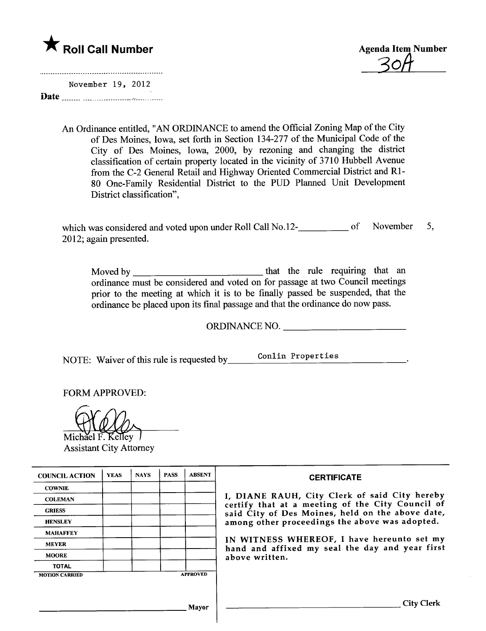



November 19, 2012 Date  $\frac{1}{2}$  uuuu uuuuuuuuuuuu  $\frac{1}{2}$ 

> An Ordinance entitled, "AN ORDINANCE to amend the Official Zoning Map of the City of Des Moines, Iowa, set forth in Section 134-277 of the Municipal Code of the City of Des Moines, Iowa, 2000, by rezoning and changing the district classification of certain property located in the vicinity of 3710 Hubbell Avenue from the C-2 General Retail and Highway Oriented Commercial District and RI-80 One-Family Residential District to the PUD Planned Unit Development District classification",

which was considered and voted upon under Roll Call No.12-<br>
<u>considered</u> and voted upon under Roll Call No.12-2012; again presented. November 5,

Moved by that the rule requinng that an ordinance must be considered and voted on for passage at two Council meetings prior to the meeting at which it is to be finally passed be suspended, that the ordinance be placed upon its final passage and that the ordinance do now pass.

ORDINANCE NO.

NOTE: Waiver of this rule is requested by Conlin Properties

FORM APPROVED:

Michael F. Kellev **COLOGY**<br>Michael F. Kelley

| <b>COUNCIL ACTION</b> | <b>YEAS</b> | <b>NAYS</b> | <b>PASS</b> | <b>ABSENT</b>   | <b>CERTIFICATE</b>                                                                                                                                                                                                                                                                                                         |
|-----------------------|-------------|-------------|-------------|-----------------|----------------------------------------------------------------------------------------------------------------------------------------------------------------------------------------------------------------------------------------------------------------------------------------------------------------------------|
| <b>COWNIE</b>         |             |             |             |                 |                                                                                                                                                                                                                                                                                                                            |
| <b>COLEMAN</b>        |             |             |             |                 | I, DIANE RAUH, City Clerk of said City hereby<br>certify that at a meeting of the City Council of<br>said City of Des Moines, held on the above date,<br>among other proceedings the above was adopted.<br>IN WITNESS WHEREOF, I have hereunto set my<br>hand and affixed my seal the day and year first<br>above written. |
| <b>GRIESS</b>         |             |             |             |                 |                                                                                                                                                                                                                                                                                                                            |
| <b>HENSLEY</b>        |             |             |             |                 |                                                                                                                                                                                                                                                                                                                            |
| <b>MAHAFFEY</b>       |             |             |             |                 |                                                                                                                                                                                                                                                                                                                            |
| <b>MEYER</b>          |             |             |             |                 |                                                                                                                                                                                                                                                                                                                            |
| <b>MOORE</b>          |             |             |             |                 |                                                                                                                                                                                                                                                                                                                            |
| <b>TOTAL</b>          |             |             |             |                 |                                                                                                                                                                                                                                                                                                                            |
| <b>MOTION CARRIED</b> |             |             |             | <b>APPROVED</b> |                                                                                                                                                                                                                                                                                                                            |
|                       |             |             |             |                 |                                                                                                                                                                                                                                                                                                                            |
| Mavor                 |             |             |             |                 | City :                                                                                                                                                                                                                                                                                                                     |